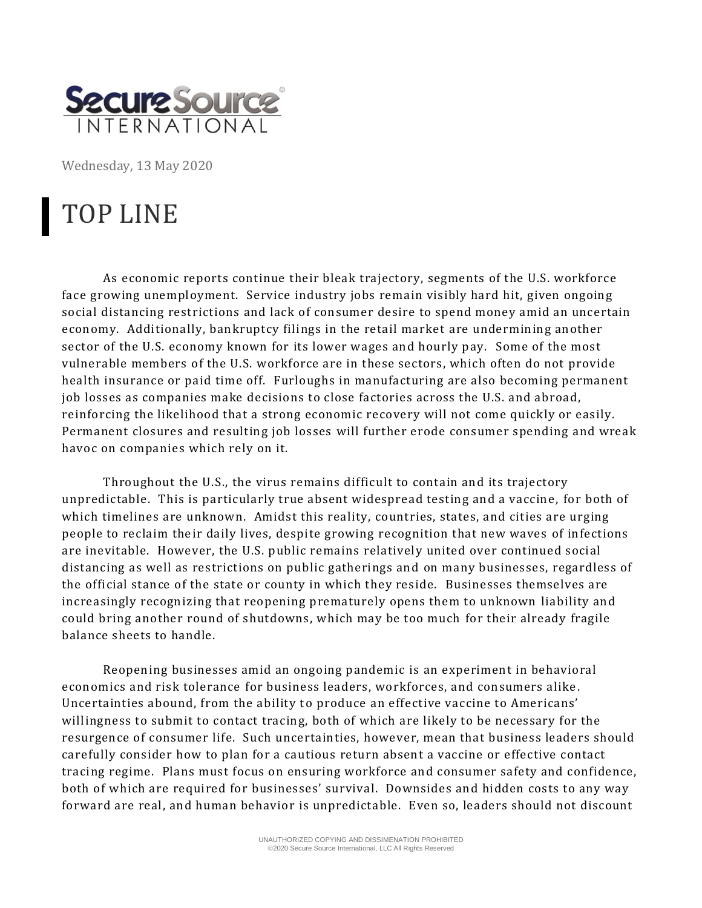

Wednesday, 13 May 2020

## TOP LINE

As economic reports continue their bleak trajectory, segments of the U.S. workforce face growing unemployment. Service industry jobs remain visibly hard hit, given ongoing social distancing restrictions and lack of consumer desire to spend money amid an uncertain economy. Additionally, bankruptcy filings in the retail market are undermining another sector of the U.S. economy known for its lower wages and hourly pay. Some of the most vulnerable members of the U.S. workforce are in these sectors, which often do not provide health insurance or paid time off. Furloughs in manufacturing are also becoming permanent job losses as companies make decisions to close factories across the U.S. and abroad, reinforcing the likelihood that a strong economic recovery will not come quickly or easily. Permanent closures and resulting job losses will further erode consumer spending and wreak havoc on companies which rely on it.

Throughout the U.S., the virus remains difficult to contain and its trajectory unpredictable. This is particularly true absent widespread testing and a vaccine, for both of which timelines are unknown. Amidst this reality, countries, states, and cities are urging people to reclaim their daily lives, despite growing recognition that new waves of infections are inevitable. However, the U.S. public remains relatively united over continued social distancing as well as restrictions on public gatherings and on many businesses, regardless of the official stance of the state or county in which they reside. Businesses themselves are increasingly recognizing that reopening prematurely opens them to unknown liability and could bring another round of shutdowns, which may be too much for their already fragile balance sheets to handle.

Reopening businesses amid an ongoing pandemic is an experiment in behavioral economics and risk tolerance for business leaders, workforces, and consumers alike . Uncertainties abound, from the ability to produce an effective vaccine to Americans' willingness to submit to contact tracing, both of which are likely to be necessary for the resurgence of consumer life. Such uncertainties, however, mean that business leaders should carefully consider how to plan for a cautious return absent a vaccine or effective contact tracing regime. Plans must focus on ensuring workforce and consumer safety and confidence, both of which are required for businesses' survival. Downsides and hidden costs to any way forward are real, and human behavior is unpredictable. Even so, leaders should not discount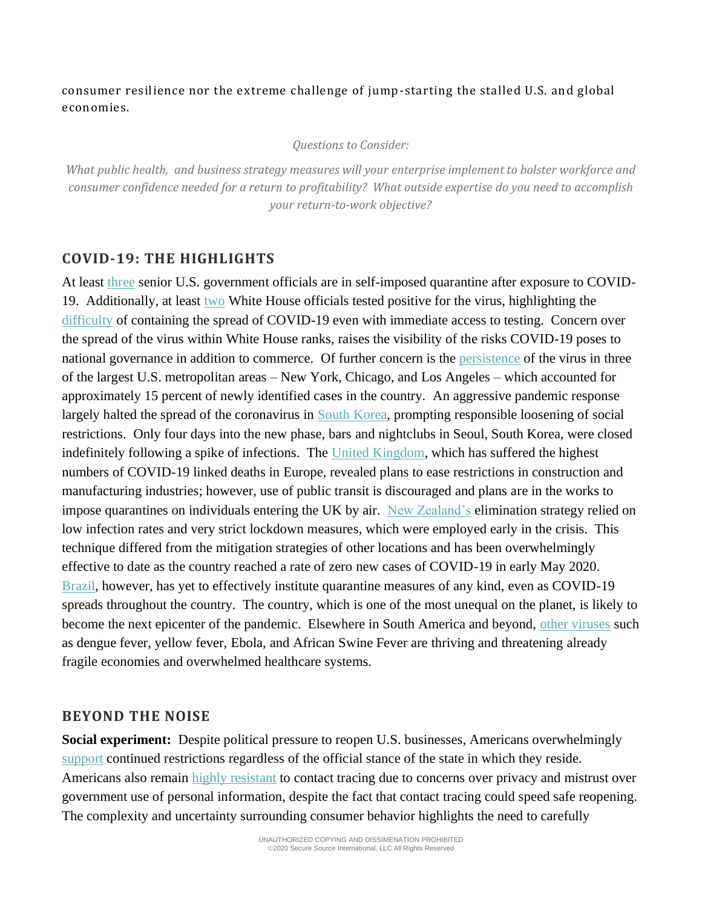consumer resilience nor the extreme challenge of jump-starting the stalled U.S. and global economies.

## *Questions to Consider:*

*What public health, and business strategy measures will your enterprise implement to bolster workforce and consumer confidence needed for a return to profitability? What outside expertise do you need to accomplish your return-to-work objective?* 

## **COVID-19: THE HIGHLIGHTS**

At least [three](https://www.cnn.com/2020/05/09/politics/fauci-modified-quarantine-coronavirus/index.html) senior U.S. government officials are in self-imposed quarantine after exposure to COVID-19. Additionally, at least [two](https://www.washingtonpost.com/news/powerpost/paloma/powerup/2020/05/11/powerup-white-house-coronavirus-cases-highlight-risks-of-officials-not-following-federal-guidelines/5eb8691a88e0fa17cddf7039/?itid=hp_hp-banner-main_powerup-1005am%3Ahomepage%2Fstory-ans) White House officials tested positive for the virus, highlighting the [difficulty](https://www.nytimes.com/2020/05/10/us/politics/white-house-coronavirus-trump.html?campaign_id=9&emc=edit_nn_20200511&instance_id=18384&nl=the-morning®i_id=125234924&segment_id=27239&te=1&user_id=ef951501096fac815b2c4160edd0a3b8) of containing the spread of COVID-19 even with immediate access to testing. Concern over the spread of the virus within White House ranks, raises the visibility of the risks COVID-19 poses to national governance in addition to commerce. Of further concern is the [persistence](https://www.nytimes.com/2020/05/09/us/coronavirus-chicago.html) of the virus in three of the largest U.S. metropolitan areas – New York, Chicago, and Los Angeles – which accounted for approximately 15 percent of newly identified cases in the country. An aggressive pandemic response largely halted the spread of the coronavirus in [South Korea,](https://www.nytimes.com/2020/05/09/world/asia/coronavirus-south-korea-second-wave.html?campaign_id=9&emc=edit_nn_20200510&instance_id=18372&nl=the-morning®i_id=125234924&segment_id=27142&te=1&user_id=ef951501096fac815b2c4160edd0a3b8) prompting responsible loosening of social restrictions. Only four days into the new phase, bars and nightclubs in Seoul, South Korea, were closed indefinitely following a spike of infections. The [United Kingdom,](https://www.wsj.com/articles/boris-johnson-unveils-plan-to-ease-coronavirus-lockdown-in-u-k-11589141761?mod=hp_listc_pos3) which has suffered the highest numbers of COVID-19 linked deaths in Europe, revealed plans to ease restrictions in construction and manufacturing industries; however, use of public transit is discouraged and plans are in the works to impose quarantines on individuals entering the UK by air. [New Zealand's](https://www.thelancet.com/journals/lancet/article/PIIS0140-6736(20)31097-7/fulltext) elimination strategy relied on low infection rates and very strict lockdown measures, which were employed early in the crisis. This technique differed from the mitigation strategies of other locations and has been overwhelmingly effective to date as the country reached a rate of zero new cases of COVID-19 in early May 2020. [Brazil,](https://www.theatlantic.com/politics/archive/2020/05/brazil-coronavirus-hot-spot-bolsonaro/611401/) however, has yet to effectively institute quarantine measures of any kind, even as COVID-19 spreads throughout the country. The country, which is one of the most unequal on the planet, is likely to become the next epicenter of the pandemic. Elsewhere in South America and beyond, [other viruses](https://qz.com/1854926/other-virus-outbreaks-erupt-alongside-coronavirus-worldwide/) such as dengue fever, yellow fever, Ebola, and African Swine Fever are thriving and threatening already fragile economies and overwhelmed healthcare systems.

## **BEYOND THE NOISE**

**Social experiment:** Despite political pressure to reopen U.S. businesses, Americans overwhelmingly [support](https://www.theatlantic.com/ideas/archive/2020/05/what-if-they-reopened-country-and-no-one-came/611182/?utm_source=newsletter&utm_medium=email&utm_campaign=atlantic-daily-newsletter&utm_content=20200507&silverid-ref=NjUyMDM3MjI1NjQ4S0) continued restrictions regardless of the official stance of the state in which they reside. Americans also remain [highly resistant](https://www.axios.com/axios-ipsos-coronavirus-week-9-contact-tracing-bd747eaa-8fa1-4822-89bc-4e214c44a44d.html) to contact tracing due to concerns over privacy and mistrust over government use of personal information, despite the fact that contact tracing could speed safe reopening. The complexity and uncertainty surrounding consumer behavior highlights the need to carefully